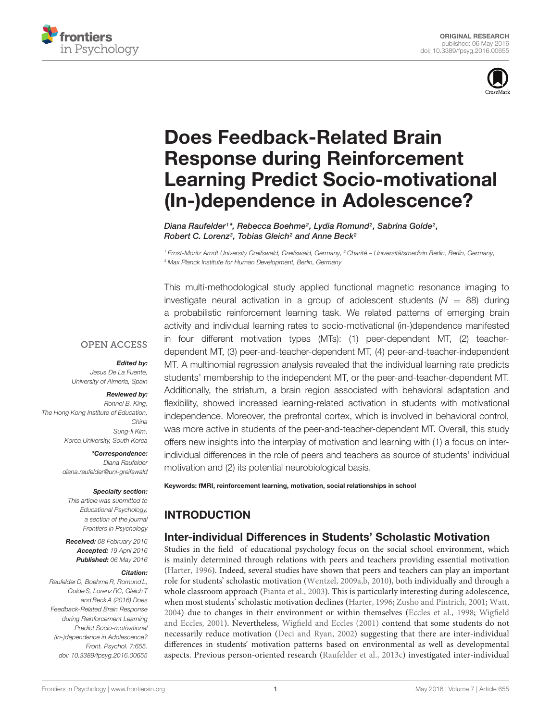



# Does Feedback-Related Brain Response during Reinforcement [Learning Predict Socio-motivational](http://journal.frontiersin.org/article/10.3389/fpsyg.2016.00655/abstract) (In-)dependence in Adolescence?

[Diana Raufelder](http://loop.frontiersin.org/people/205775/overview)1\*, [Rebecca Boehme](http://loop.frontiersin.org/people/111661/overview)<sup>2</sup>, [Lydia Romund](http://loop.frontiersin.org/people/333044/overview)<sup>2</sup>, Sabrina Golde<sup>2</sup>, [Robert C. Lorenz](http://loop.frontiersin.org/people/107513/overview)<sup>3</sup>, Tobias Gleich<sup>2</sup> and [Anne Beck](http://loop.frontiersin.org/people/343464/overview)<sup>2</sup>

<sup>1</sup> Ernst-Moritz Arndt University Greifswald, Greifswald, Germany, <sup>2</sup> Charité – Universitätsmedizin Berlin, Berlin, Germany, <sup>3</sup> Max Planck Institute for Human Development, Berlin, Germany

#### **OPEN ACCESS**

#### Edited by:

Jesus De La Fuente, University of Almería, Spain

#### Reviewed by:

Ronnel B. King, The Hong Kong Institute of Education, China Sung-Il Kim, Korea University, South Korea

> \*Correspondence: Diana Raufelder diana.raufelder@uni-greifswald

#### Specialty section:

This article was submitted to Educational Psychology, a section of the journal Frontiers in Psychology

Received: 08 February 2016 Accepted: 19 April 2016 Published: 06 May 2016

#### Citation:

Raufelder D, Boehme R, Romund L, Golde S, Lorenz RC, Gleich T and Beck A (2016) Does Feedback-Related Brain Response during Reinforcement Learning Predict Socio-motivational (In-)dependence in Adolescence? Front. Psychol. 7:655. doi: [10.3389/fpsyg.2016.00655](http://dx.doi.org/10.3389/fpsyg.2016.00655)

This multi-methodological study applied functional magnetic resonance imaging to investigate neural activation in a group of adolescent students ( $N = 88$ ) during a probabilistic reinforcement learning task. We related patterns of emerging brain activity and individual learning rates to socio-motivational (in-)dependence manifested in four different motivation types (MTs): (1) peer-dependent MT, (2) teacherdependent MT, (3) peer-and-teacher-dependent MT, (4) peer-and-teacher-independent MT. A multinomial regression analysis revealed that the individual learning rate predicts students' membership to the independent MT, or the peer-and-teacher-dependent MT. Additionally, the striatum, a brain region associated with behavioral adaptation and flexibility, showed increased learning-related activation in students with motivational independence. Moreover, the prefrontal cortex, which is involved in behavioral control, was more active in students of the peer-and-teacher-dependent MT. Overall, this study offers new insights into the interplay of motivation and learning with (1) a focus on interindividual differences in the role of peers and teachers as source of students' individual motivation and (2) its potential neurobiological basis.

Keywords: fMRI, reinforcement learning, motivation, social relationships in school

# **INTRODUCTION**

## Inter-individual Differences in Students' Scholastic Motivation

Studies in the field of educational psychology focus on the social school environment, which is mainly determined through relations with peers and teachers providing essential motivation [\(Harter, 1996\)](#page-9-0). Indeed, several studies have shown that peers and teachers can play an important role for students' scholastic motivation [\(Wentzel, 2009a](#page-10-0)[,b,](#page-10-1) [2010\)](#page-10-2), both individually and through a whole classroom approach [\(Pianta et al., 2003\)](#page-10-3). This is particularly interesting during adolescence, when most students' scholastic motivation declines [\(Harter, 1996;](#page-9-0) [Zusho and Pintrich, 2001;](#page-10-4) [Watt,](#page-10-5) [2004\)](#page-10-5) due to changes in their environment or within themselves [\(Eccles et al., 1998;](#page-9-1) [Wigfield](#page-10-6) [and Eccles, 2001\)](#page-10-6). Nevertheless, [Wigfield and Eccles](#page-10-6) [\(2001\)](#page-10-6) contend that some students do not necessarily reduce motivation [\(Deci and Ryan, 2002\)](#page-9-2) suggesting that there are inter-individual differences in students' motivation patterns based on environmental as well as developmental aspects. Previous person-oriented research [\(Raufelder et al., 2013c\)](#page-10-7) investigated inter-individual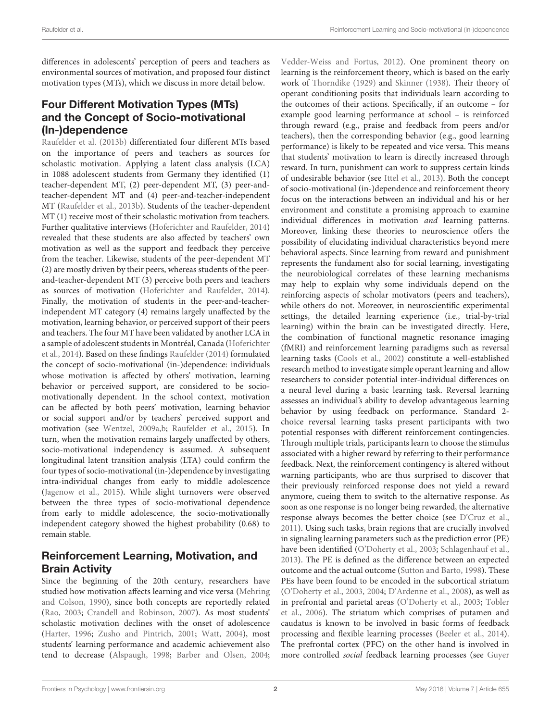differences in adolescents' perception of peers and teachers as environmental sources of motivation, and proposed four distinct motivation types (MTs), which we discuss in more detail below.

# Four Different Motivation Types (MTs) and the Concept of Socio-motivational (In-)dependence

[Raufelder et al.](#page-10-8) [\(2013b\)](#page-10-8) differentiated four different MTs based on the importance of peers and teachers as sources for scholastic motivation. Applying a latent class analysis (LCA) in 1088 adolescent students from Germany they identified (1) teacher-dependent MT, (2) peer-dependent MT, (3) peer-andteacher-dependent MT and (4) peer-and-teacher-independent MT [\(Raufelder et al.,](#page-10-8) [2013b\)](#page-10-8). Students of the teacher-dependent MT (1) receive most of their scholastic motivation from teachers. Further qualitative interviews [\(Hoferichter and Raufelder,](#page-9-3) [2014\)](#page-9-3) revealed that these students are also affected by teachers' own motivation as well as the support and feedback they perceive from the teacher. Likewise, students of the peer-dependent MT (2) are mostly driven by their peers, whereas students of the peerand-teacher-dependent MT (3) perceive both peers and teachers as sources of motivation [\(Hoferichter and Raufelder,](#page-9-3) [2014\)](#page-9-3). Finally, the motivation of students in the peer-and-teacherindependent MT category (4) remains largely unaffected by the motivation, learning behavior, or perceived support of their peers and teachers. The four MT have been validated by another LCA in a sample of adolescent students in Montréal, Canada [\(Hoferichter](#page-9-4) [et al.,](#page-9-4) [2014\)](#page-9-4). Based on these findings [Raufelder](#page-10-9) [\(2014\)](#page-10-9) formulated the concept of socio-motivational (in-)dependence: individuals whose motivation is affected by others' motivation, learning behavior or perceived support, are considered to be sociomotivationally dependent. In the school context, motivation can be affected by both peers' motivation, learning behavior or social support and/or by teachers' perceived support and motivation (see [Wentzel,](#page-10-0) [2009a](#page-10-0)[,b;](#page-10-1) [Raufelder et al.,](#page-10-10) [2015\)](#page-10-10). In turn, when the motivation remains largely unaffected by others, socio-motivational independency is assumed. A subsequent longitudinal latent transition analysis (LTA) could confirm the four types of socio-motivational (in-)dependence by investigating intra-individual changes from early to middle adolescence [\(Jagenow et al.,](#page-9-5) [2015\)](#page-9-5). While slight turnovers were observed between the three types of socio-motivational dependence from early to middle adolescence, the socio-motivationally independent category showed the highest probability (0.68) to remain stable.

# Reinforcement Learning, Motivation, and Brain Activity

Since the beginning of the 20th century, researchers have studied how motivation affects learning and vice versa [\(Mehring](#page-9-6) [and Colson,](#page-9-6) [1990\)](#page-9-6), since both concepts are reportedly related [\(Rao,](#page-10-11) [2003;](#page-10-11) [Crandell and Robinson,](#page-9-7) [2007\)](#page-9-7). As most students' scholastic motivation declines with the onset of adolescence [\(Harter,](#page-9-0) [1996;](#page-9-0) [Zusho and Pintrich,](#page-10-4) [2001;](#page-10-4) [Watt,](#page-10-5) [2004\)](#page-10-5), most students' learning performance and academic achievement also tend to decrease [\(Alspaugh,](#page-9-8) [1998;](#page-9-8) [Barber and Olsen,](#page-9-9) [2004;](#page-9-9)

[Vedder-Weiss and Fortus,](#page-10-12) [2012\)](#page-10-12). One prominent theory on learning is the reinforcement theory, which is based on the early work of [Thorndike](#page-10-13) [\(1929\)](#page-10-13) and [Skinner](#page-10-14) [\(1938\)](#page-10-14). Their theory of operant conditioning posits that individuals learn according to the outcomes of their actions. Specifically, if an outcome – for example good learning performance at school – is reinforced through reward (e.g., praise and feedback from peers and/or teachers), then the corresponding behavior (e.g., good learning performance) is likely to be repeated and vice versa. This means that students' motivation to learn is directly increased through reward. In turn, punishment can work to suppress certain kinds of undesirable behavior (see [Ittel et al.,](#page-9-10) [2013\)](#page-9-10). Both the concept of socio-motivational (in-)dependence and reinforcement theory focus on the interactions between an individual and his or her environment and constitute a promising approach to examine individual differences in motivation and learning patterns. Moreover, linking these theories to neuroscience offers the possibility of elucidating individual characteristics beyond mere behavioral aspects. Since learning from reward and punishment represents the fundament also for social learning, investigating the neurobiological correlates of these learning mechanisms may help to explain why some individuals depend on the reinforcing aspects of scholar motivators (peers and teachers), while others do not. Moreover, in neuroscientific experimental settings, the detailed learning experience (i.e., trial-by-trial learning) within the brain can be investigated directly. Here, the combination of functional magnetic resonance imaging (fMRI) and reinforcement learning paradigms such as reversal learning tasks [\(Cools et al.,](#page-9-11) [2002\)](#page-9-11) constitute a well-established research method to investigate simple operant learning and allow researchers to consider potential inter-individual differences on a neural level during a basic learning task. Reversal learning assesses an individual's ability to develop advantageous learning behavior by using feedback on performance. Standard 2 choice reversal learning tasks present participants with two potential responses with different reinforcement contingencies. Through multiple trials, participants learn to choose the stimulus associated with a higher reward by referring to their performance feedback. Next, the reinforcement contingency is altered without warning participants, who are thus surprised to discover that their previously reinforced response does not yield a reward anymore, cueing them to switch to the alternative response. As soon as one response is no longer being rewarded, the alternative response always becomes the better choice (see [D'Cruz et al.,](#page-9-12) [2011\)](#page-9-12). Using such tasks, brain regions that are crucially involved in signaling learning parameters such as the prediction error (PE) have been identified [\(O'Doherty et al.,](#page-10-15) [2003;](#page-10-15) [Schlagenhauf et al.,](#page-10-16) [2013\)](#page-10-16). The PE is defined as the difference between an expected outcome and the actual outcome [\(Sutton and Barto,](#page-10-17) [1998\)](#page-10-17). These PEs have been found to be encoded in the subcortical striatum [\(O'Doherty et al.,](#page-10-15) [2003,](#page-10-15) [2004;](#page-10-18) [D'Ardenne et al.,](#page-9-13) [2008\)](#page-9-13), as well as in prefrontal and parietal areas [\(O'Doherty et al.,](#page-10-15) [2003;](#page-10-15) [Tobler](#page-10-19) [et al.,](#page-10-19) [2006\)](#page-10-19). The striatum which comprises of putamen and caudatus is known to be involved in basic forms of feedback processing and flexible learning processes [\(Beeler et al.,](#page-9-14) [2014\)](#page-9-14). The prefrontal cortex (PFC) on the other hand is involved in more controlled social feedback learning processes (see [Guyer](#page-9-15)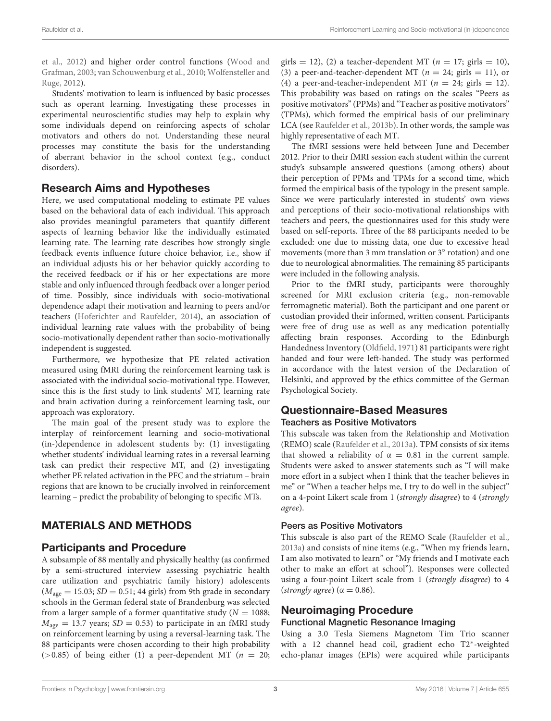[et al.,](#page-9-15) [2012\)](#page-9-15) and higher order control functions [\(Wood and](#page-10-20) [Grafman,](#page-10-20) [2003;](#page-10-20) [van Schouwenburg et al.,](#page-10-21) [2010;](#page-10-21) [Wolfensteller and](#page-10-22) [Ruge,](#page-10-22) [2012\)](#page-10-22).

Students' motivation to learn is influenced by basic processes such as operant learning. Investigating these processes in experimental neuroscientific studies may help to explain why some individuals depend on reinforcing aspects of scholar motivators and others do not. Understanding these neural processes may constitute the basis for the understanding of aberrant behavior in the school context (e.g., conduct disorders).

### Research Aims and Hypotheses

Here, we used computational modeling to estimate PE values based on the behavioral data of each individual. This approach also provides meaningful parameters that quantify different aspects of learning behavior like the individually estimated learning rate. The learning rate describes how strongly single feedback events influence future choice behavior, i.e., show if an individual adjusts his or her behavior quickly according to the received feedback or if his or her expectations are more stable and only influenced through feedback over a longer period of time. Possibly, since individuals with socio-motivational dependence adapt their motivation and learning to peers and/or teachers [\(Hoferichter and Raufelder,](#page-9-3) [2014\)](#page-9-3), an association of individual learning rate values with the probability of being socio-motivationally dependent rather than socio-motivationally independent is suggested.

Furthermore, we hypothesize that PE related activation measured using fMRI during the reinforcement learning task is associated with the individual socio-motivational type. However, since this is the first study to link students' MT, learning rate and brain activation during a reinforcement learning task, our approach was exploratory.

The main goal of the present study was to explore the interplay of reinforcement learning and socio-motivational (in-)dependence in adolescent students by: (1) investigating whether students' individual learning rates in a reversal learning task can predict their respective MT, and (2) investigating whether PE related activation in the PFC and the striatum – brain regions that are known to be crucially involved in reinforcement learning – predict the probability of belonging to specific MTs.

## MATERIALS AND METHODS

## Participants and Procedure

A subsample of 88 mentally and physically healthy (as confirmed by a semi-structured interview assessing psychiatric health care utilization and psychiatric family history) adolescents  $(M<sub>age</sub> = 15.03; SD = 0.51; 44 girls)$  from 9th grade in secondary schools in the German federal state of Brandenburg was selected from a larger sample of a former quantitative study ( $N = 1088$ ;  $M_{\text{age}} = 13.7$  years;  $SD = 0.53$ ) to participate in an fMRI study on reinforcement learning by using a reversal-learning task. The 88 participants were chosen according to their high probability ( $>0.85$ ) of being either (1) a peer-dependent MT ( $n = 20$ ;

girls = 12), (2) a teacher-dependent MT ( $n = 17$ ; girls = 10), (3) a peer-and-teacher-dependent MT ( $n = 24$ ; girls = 11), or (4) a peer-and-teacher-independent MT ( $n = 24$ ; girls = 12). This probability was based on ratings on the scales "Peers as positive motivators" (PPMs) and "Teacher as positive motivators" (TPMs), which formed the empirical basis of our preliminary LCA (see [Raufelder et al.,](#page-10-8) [2013b\)](#page-10-8). In other words, the sample was highly representative of each MT.

The fMRI sessions were held between June and December 2012. Prior to their fMRI session each student within the current study's subsample answered questions (among others) about their perception of PPMs and TPMs for a second time, which formed the empirical basis of the typology in the present sample. Since we were particularly interested in students' own views and perceptions of their socio-motivational relationships with teachers and peers, the questionnaires used for this study were based on self-reports. Three of the 88 participants needed to be excluded: one due to missing data, one due to excessive head movements (more than 3 mm translation or 3<sup>°</sup> rotation) and one due to neurological abnormalities. The remaining 85 participants were included in the following analysis.

Prior to the fMRI study, participants were thoroughly screened for MRI exclusion criteria (e.g., non-removable ferromagnetic material). Both the participant and one parent or custodian provided their informed, written consent. Participants were free of drug use as well as any medication potentially affecting brain responses. According to the Edinburgh Handedness Inventory [\(Oldfield,](#page-10-23) [1971\)](#page-10-23) 81 participants were right handed and four were left-handed. The study was performed in accordance with the latest version of the Declaration of Helsinki, and approved by the ethics committee of the German Psychological Society.

# Questionnaire-Based Measures

#### Teachers as Positive Motivators

This subscale was taken from the Relationship and Motivation (REMO) scale [\(Raufelder et al.,](#page-10-24) [2013a\)](#page-10-24). TPM consists of six items that showed a reliability of  $\alpha = 0.81$  in the current sample. Students were asked to answer statements such as "I will make more effort in a subject when I think that the teacher believes in me" or "When a teacher helps me, I try to do well in the subject" on a 4-point Likert scale from 1 (strongly disagree) to 4 (strongly agree).

#### Peers as Positive Motivators

This subscale is also part of the REMO Scale [\(Raufelder et al.,](#page-10-24) [2013a\)](#page-10-24) and consists of nine items (e.g., "When my friends learn, I am also motivated to learn" or "My friends and I motivate each other to make an effort at school"). Responses were collected using a four-point Likert scale from 1 (strongly disagree) to 4 (strongly agree) ( $\alpha$  = 0.86).

### Neuroimaging Procedure

#### Functional Magnetic Resonance Imaging

Using a 3.0 Tesla Siemens Magnetom Tim Trio scanner with a 12 channel head coil, gradient echo T2<sup>\*</sup>-weighted echo-planar images (EPIs) were acquired while participants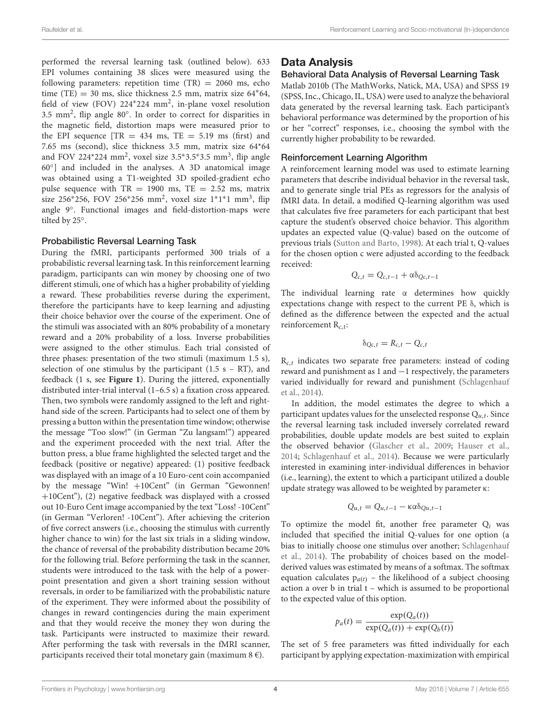performed the reversal learning task (outlined below). 633 EPI volumes containing 38 slices were measured using the following parameters: repetition time  $(TR) = 2060$  ms, echo time (TE) = 30 ms, slice thickness 2.5 mm, matrix size  $64*64$ , field of view (FOV) 224\*224 mm<sup>2</sup>, in-plane voxel resolution 3.5 mm<sup>2</sup>, flip angle 80°. In order to correct for disparities in the magnetic field, distortion maps were measured prior to the EPI sequence  $[TR = 434$  ms,  $TE = 5.19$  ms (first) and 7.65 ms (second), slice thickness 3.5 mm, matrix size 64\*64 and FOV 224\*224 mm<sup>2</sup>, voxel size 3.5\*3.5\*3.5 mm<sup>3</sup>, flip angle 60◦ ] and included in the analyses. A 3D anatomical image was obtained using a T1-weighted 3D spoiled-gradient echo pulse sequence with  $TR = 1900$  ms,  $TE = 2.52$  ms, matrix size 256\*256, FOV 256\*256 mm<sup>2</sup>, voxel size 1\*1\*1 mm<sup>3</sup>, flip angle 9◦ . Functional images and field-distortion-maps were tilted by 25◦ .

#### Probabilistic Reversal Learning Task

During the fMRI, participants performed 300 trials of a probabilistic reversal learning task. In this reinforcement learning paradigm, participants can win money by choosing one of two different stimuli, one of which has a higher probability of yielding a reward. These probabilities reverse during the experiment, therefore the participants have to keep learning and adjusting their choice behavior over the course of the experiment. One of the stimuli was associated with an 80% probability of a monetary reward and a 20% probability of a loss. Inverse probabilities were assigned to the other stimulus. Each trial consisted of three phases: presentation of the two stimuli (maximum 1.5 s), selection of one stimulus by the participant (1.5  $s - RT$ ), and feedback (1 s, see **[Figure 1](#page-4-0)**). During the jittered, exponentially distributed inter-trial interval (1–6.5 s) a fixation cross appeared. Then, two symbols were randomly assigned to the left and righthand side of the screen. Participants had to select one of them by pressing a button within the presentation time window; otherwise the message "Too slow!" (in German "Zu langsam!") appeared and the experiment proceeded with the next trial. After the button press, a blue frame highlighted the selected target and the feedback (positive or negative) appeared: (1) positive feedback was displayed with an image of a 10 Euro-cent coin accompanied by the message "Win! +10Cent" (in German "Gewonnen! +10Cent"), (2) negative feedback was displayed with a crossed out 10-Euro Cent image accompanied by the text "Loss! -10Cent" (in German "Verloren! -10Cent"). After achieving the criterion of five correct answers (i.e., choosing the stimulus with currently higher chance to win) for the last six trials in a sliding window, the chance of reversal of the probability distribution became 20% for the following trial. Before performing the task in the scanner, students were introduced to the task with the help of a powerpoint presentation and given a short training session without reversals, in order to be familiarized with the probabilistic nature of the experiment. They were informed about the possibility of changes in reward contingencies during the main experiment and that they would receive the money they won during the task. Participants were instructed to maximize their reward. After performing the task with reversals in the fMRI scanner, participants received their total monetary gain (maximum  $8 \epsilon$ ).

## Data Analysis

#### Behavioral Data Analysis of Reversal Learning Task

Matlab 2010b (The MathWorks, Natick, MA, USA) and SPSS 19 (SPSS, Inc., Chicago, IL, USA) were used to analyze the behavioral data generated by the reversal learning task. Each participant's behavioral performance was determined by the proportion of his or her "correct" responses, i.e., choosing the symbol with the currently higher probability to be rewarded.

#### Reinforcement Learning Algorithm

A reinforcement learning model was used to estimate learning parameters that describe individual behavior in the reversal task, and to generate single trial PEs as regressors for the analysis of fMRI data. In detail, a modified Q-learning algorithm was used that calculates five free parameters for each participant that best capture the student's observed choice behavior. This algorithm updates an expected value (Q-value) based on the outcome of previous trials [\(Sutton and Barto,](#page-10-17) [1998\)](#page-10-17). At each trial t, Q-values for the chosen option c were adjusted according to the feedback received:

$$
Q_{c,t} = Q_{c,t-1} + \alpha \delta_{Qc,t-1}
$$

The individual learning rate  $\alpha$  determines how quickly expectations change with respect to the current PE δ, which is defined as the difference between the expected and the actual reinforcement  $R_{c,t}$ :

$$
\delta_{Qc,t}=R_{c,t}-Q_{c,t}
$$

 $R_{c,t}$  indicates two separate free parameters: instead of coding reward and punishment as 1 and −1 respectively, the parameters varied individually for reward and punishment [\(Schlagenhauf](#page-10-25) [et al.,](#page-10-25) [2014\)](#page-10-25).

In addition, the model estimates the degree to which a participant updates values for the unselected response  $Q_{u,t}$ . Since the reversal learning task included inversely correlated reward probabilities, double update models are best suited to explain the observed behavior [\(Glascher et al.,](#page-9-16) [2009;](#page-9-16) [Hauser et al.,](#page-9-17) [2014;](#page-9-17) [Schlagenhauf et al.,](#page-10-25) [2014\)](#page-10-25). Because we were particularly interested in examining inter-individual differences in behavior (i.e., learning), the extent to which a participant utilized a double update strategy was allowed to be weighted by parameter κ:

$$
Q_{u,t} = Q_{u,t-1} - \kappa \alpha \delta_{Qu,t-1}
$$

To optimize the model fit, another free parameter  $Q_i$  was included that specified the initial Q-values for one option (a bias to initially choose one stimulus over another; [Schlagenhauf](#page-10-25) [et al.,](#page-10-25) [2014\)](#page-10-25). The probability of choices based on the modelderived values was estimated by means of a softmax. The softmax equation calculates  $p_{a(t)}$  – the likelihood of a subject choosing action a over b in trial t – which is assumed to be proportional to the expected value of this option.

$$
p_a(t) = \frac{\exp(Q_a(t))}{\exp(Q_a(t)) + \exp(Q_b(t))}
$$

The set of 5 free parameters was fitted individually for each participant by applying expectation-maximization with empirical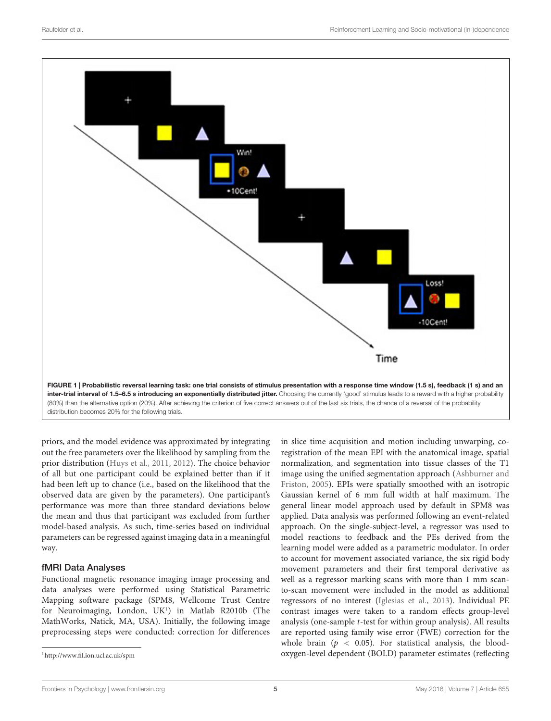

<span id="page-4-0"></span>distribution becomes 20% for the following trials.

priors, and the model evidence was approximated by integrating out the free parameters over the likelihood by sampling from the prior distribution [\(Huys et al.,](#page-9-18) [2011,](#page-9-18) [2012\)](#page-9-19). The choice behavior of all but one participant could be explained better than if it had been left up to chance (i.e., based on the likelihood that the observed data are given by the parameters). One participant's performance was more than three standard deviations below the mean and thus that participant was excluded from further model-based analysis. As such, time-series based on individual parameters can be regressed against imaging data in a meaningful way.

#### fMRI Data Analyses

Functional magnetic resonance imaging image processing and data analyses were performed using Statistical Parametric Mapping software package (SPM8, Wellcome Trust Centre for Neuroimaging, London, UK<sup>[1](#page-4-1)</sup>) in Matlab R2010b (The MathWorks, Natick, MA, USA). Initially, the following image preprocessing steps were conducted: correction for differences

in slice time acquisition and motion including unwarping, coregistration of the mean EPI with the anatomical image, spatial normalization, and segmentation into tissue classes of the T1 image using the unified segmentation approach [\(Ashburner and](#page-9-20) [Friston,](#page-9-20) [2005\)](#page-9-20). EPIs were spatially smoothed with an isotropic Gaussian kernel of 6 mm full width at half maximum. The general linear model approach used by default in SPM8 was applied. Data analysis was performed following an event-related approach. On the single-subject-level, a regressor was used to model reactions to feedback and the PEs derived from the learning model were added as a parametric modulator. In order to account for movement associated variance, the six rigid body movement parameters and their first temporal derivative as well as a regressor marking scans with more than 1 mm scanto-scan movement were included in the model as additional regressors of no interest [\(Iglesias et al.,](#page-9-21) [2013\)](#page-9-21). Individual PE contrast images were taken to a random effects group-level analysis (one-sample t-test for within group analysis). All results are reported using family wise error (FWE) correction for the whole brain ( $p < 0.05$ ). For statistical analysis, the bloodoxygen-level dependent (BOLD) parameter estimates (reflecting

<span id="page-4-1"></span><sup>1</sup><http://www.fil.ion.ucl.ac.uk/spm>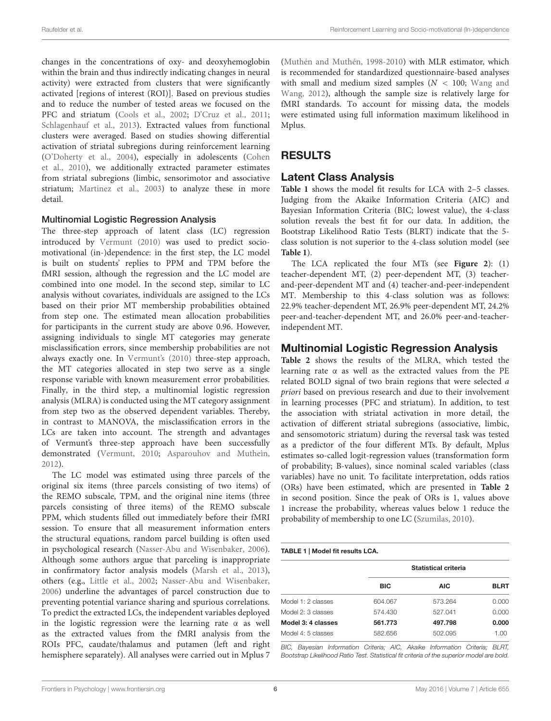changes in the concentrations of oxy- and deoxyhemoglobin within the brain and thus indirectly indicating changes in neural activity) were extracted from clusters that were significantly activated [regions of interest (ROI)]. Based on previous studies and to reduce the number of tested areas we focused on the PFC and striatum [\(Cools et al.,](#page-9-11) [2002;](#page-9-11) [D'Cruz et al.,](#page-9-12) [2011;](#page-9-12) [Schlagenhauf et al.,](#page-10-16) [2013\)](#page-10-16). Extracted values from functional clusters were averaged. Based on studies showing differential activation of striatal subregions during reinforcement learning [\(O'Doherty et al.,](#page-10-18) [2004\)](#page-10-18), especially in adolescents [\(Cohen](#page-9-22) [et al.,](#page-9-22) [2010\)](#page-9-22), we additionally extracted parameter estimates from striatal subregions (limbic, sensorimotor and associative striatum; [Martinez et al.,](#page-9-23) [2003\)](#page-9-23) to analyze these in more detail.

#### Multinomial Logistic Regression Analysis

The three-step approach of latent class (LC) regression introduced by [Vermunt](#page-10-26) [\(2010\)](#page-10-26) was used to predict sociomotivational (in-)dependence: in the first step, the LC model is built on students' replies to PPM and TPM before the fMRI session, although the regression and the LC model are combined into one model. In the second step, similar to LC analysis without covariates, individuals are assigned to the LCs based on their prior MT membership probabilities obtained from step one. The estimated mean allocation probabilities for participants in the current study are above 0.96. However, assigning individuals to single MT categories may generate misclassification errors, since membership probabilities are not always exactly one. In [Vermunt'](#page-10-26)s [\(2010\)](#page-10-26) three-step approach, the MT categories allocated in step two serve as a single response variable with known measurement error probabilities. Finally, in the third step, a multinomial logistic regression analysis (MLRA) is conducted using the MT category assignment from step two as the observed dependent variables. Thereby, in contrast to MANOVA, the misclassification errors in the LCs are taken into account. The strength and advantages of Vermunt's three-step approach have been successfully demonstrated [\(Vermunt,](#page-10-26) [2010;](#page-10-26) [Asparouhov and Mutheìn,](#page-9-24) [2012\)](#page-9-24).

The LC model was estimated using three parcels of the original six items (three parcels consisting of two items) of the REMO subscale, TPM, and the original nine items (three parcels consisting of three items) of the REMO subscale PPM, which students filled out immediately before their fMRI session. To ensure that all measurement information enters the structural equations, random parcel building is often used in psychological research [\(Nasser-Abu and Wisenbaker,](#page-9-25) [2006\)](#page-9-25). Although some authors argue that parceling is inappropriate in confirmatory factor analysis models [\(Marsh et al.,](#page-9-26) [2013\)](#page-9-26), others (e.g., [Little et al.,](#page-9-27) [2002;](#page-9-27) [Nasser-Abu and Wisenbaker,](#page-9-25) [2006\)](#page-9-25) underline the advantages of parcel construction due to preventing potential variance sharing and spurious correlations. To predict the extracted LCs, the independent variables deployed in the logistic regression were the learning rate  $\alpha$  as well as the extracted values from the fMRI analysis from the ROIs PFC, caudate/thalamus and putamen (left and right hemisphere separately). All analyses were carried out in Mplus 7 [\(Muthén and Muthén,](#page-9-28) [1998-2010\)](#page-9-28) with MLR estimator, which is recommended for standardized questionnaire-based analyses with small and medium sized samples ( $N < 100$ ; [Wang and](#page-10-27) [Wang,](#page-10-27) [2012\)](#page-10-27), although the sample size is relatively large for fMRI standards. To account for missing data, the models were estimated using full information maximum likelihood in Mplus.

# RESULTS

### Latent Class Analysis

**[Table 1](#page-5-0)** shows the model fit results for LCA with 2–5 classes. Judging from the Akaike Information Criteria (AIC) and Bayesian Information Criteria (BIC; lowest value), the 4-class solution reveals the best fit for our data. In addition, the Bootstrap Likelihood Ratio Tests (BLRT) indicate that the 5 class solution is not superior to the 4-class solution model (see **[Table 1](#page-5-0)**).

The LCA replicated the four MTs (see **[Figure 2](#page-6-0)**): (1) teacher-dependent MT, (2) peer-dependent MT, (3) teacherand-peer-dependent MT and (4) teacher-and-peer-independent MT. Membership to this 4-class solution was as follows: 22.9% teacher-dependent MT, 26.9% peer-dependent MT, 24.2% peer-and-teacher-dependent MT, and 26.0% peer-and-teacherindependent MT.

### Multinomial Logistic Regression Analysis

**[Table 2](#page-6-1)** shows the results of the MLRA, which tested the learning rate  $\alpha$  as well as the extracted values from the PE related BOLD signal of two brain regions that were selected a priori based on previous research and due to their involvement in learning processes (PFC and striatum). In addition, to test the association with striatal activation in more detail, the activation of different striatal subregions (associative, limbic, and sensomotoric striatum) during the reversal task was tested as a predictor of the four different MTs. By default, Mplus estimates so-called logit-regression values (transformation form of probability; B-values), since nominal scaled variables (class variables) have no unit. To facilitate interpretation, odds ratios (ORs) have been estimated, which are presented in **[Table 2](#page-6-1)** in second position. Since the peak of ORs is 1, values above 1 increase the probability, whereas values below 1 reduce the probability of membership to one LC [\(Szumilas,](#page-10-28) [2010\)](#page-10-28).

#### <span id="page-5-0"></span>TABLE 1 | Model fit results LCA.

|                    | Statistical criteria |            |             |  |
|--------------------|----------------------|------------|-------------|--|
|                    | <b>BIC</b>           | <b>AIC</b> | <b>BLRT</b> |  |
| Model 1: 2 classes | 604.067              | 573.264    | 0.000       |  |
| Model 2: 3 classes | 574.430              | 527.041    | 0.000       |  |
| Model 3: 4 classes | 561.773              | 497.798    | 0.000       |  |
| Model 4: 5 classes | 582.656              | 502.095    | 1.00        |  |

BIC, Bayesian Information Criteria; AIC, Akaike Information Criteria; BLRT, Bootstrap Likelihood Ratio Test. Statistical fit criteria of the superior model are bold.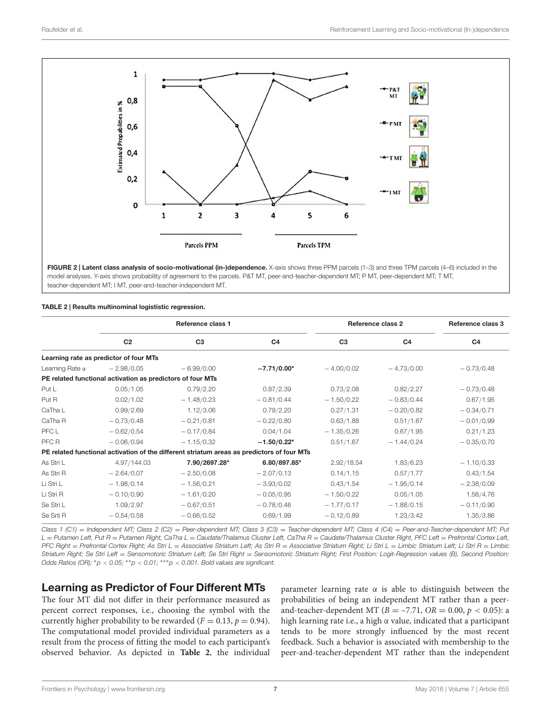

<span id="page-6-0"></span>FIGURE 2 | Latent class analysis of socio-motivational (in-)dependence. X-axis shows three PPM parcels (1-3) and three TPM parcels (4-6) included in the model analyses. Y-axis shows probability of agreement to the parcels. P&T MT, peer-and-teacher-dependent MT; P MT, peer-dependent MT; T MT, teacher-dependent MT; I MT, peer-and-teacher-independent MT.

#### <span id="page-6-1"></span>TABLE 2 | Results multinominal logististic regression.

|                        | Reference class 1                                          |                                                                                            |                | Reference class 2 |                | Reference class 3 |
|------------------------|------------------------------------------------------------|--------------------------------------------------------------------------------------------|----------------|-------------------|----------------|-------------------|
|                        | C <sub>2</sub>                                             | C <sub>3</sub>                                                                             | C <sub>4</sub> | C <sub>3</sub>    | C <sub>4</sub> | C <sub>4</sub>    |
|                        | Learning rate as predictor of four MTs                     |                                                                                            |                |                   |                |                   |
| Learning Rate $\alpha$ | $-2.98/0.05$                                               | $-6.99/0.00$                                                                               | $-7.71/0.00*$  | $-4.00/0.02$      | $-4.73/0.00$   | $-0.73/0.48$      |
|                        | PE related functional activation as predictors of four MTs |                                                                                            |                |                   |                |                   |
| Put L                  | 0.05/1.05                                                  | 0.79/2.20                                                                                  | 0.87/2.39      | 0.73/2.08         | 0.82/2.27      | $-0.73/0.48$      |
| Put R                  | 0.02/1.02                                                  | $-1.48/0.23$                                                                               | $-0.81/0.44$   | $-1.50/0.22$      | $-0.83/0.44$   | 0.67/1.95         |
| CaTha L                | 0.99/2.69                                                  | 1.12/3.06                                                                                  | 0.79/2.20      | 0.27/1.31         | $-0.20/0.82$   | $-0.34/0.71$      |
| CaTha R                | $-0.73/0.48$                                               | $-0.21/0.81$                                                                               | $-0.22/0.80$   | 0.63/1.88         | 0.51/1.67      | $-0.01/0.99$      |
| PFC L                  | $-0.62/0.54$                                               | $-0.17/0.84$                                                                               | 0.04/1.04      | $-1.35/0.26$      | 0.67/1.95      | 0.21/1.23         |
| PFC R                  | $-0.06/0.94$                                               | $-1.15/0.32$                                                                               | $-1.50/0.22*$  | 0.51/1.67         | $-1.44/0.24$   | $-0.35/0.70$      |
|                        |                                                            | PE related functional activation of the different striatum areas as predictors of four MTs |                |                   |                |                   |
| As Stri L              | 4.97/144.03                                                | 7.90/2697.28*                                                                              | 6.80/897.85*   | 2.92/18.54        | 1.83/6.23      | $-1.10/0.33$      |
| As Stri R              | $-2.64/0.07$                                               | $-2.50/0.08$                                                                               | $-2.07/0.13$   | 0.14/1.15         | 0.57/1.77      | 0.43/1.54         |
| Li Stri L              | $-1.98/0.14$                                               | $-1.56/0.21$                                                                               | $-3.93/0.02$   | 0.43/1.54         | $-1.95/0.14$   | $-2.38/0.09$      |
| Li Stri R              | $-0.10/0.90$                                               | $-1.61/0.20$                                                                               | $-0.05/0.95$   | $-1.50/0.22$      | 0.05/1.05      | 1.56/4.76         |
| Se Stri L              | 1.09/2.97                                                  | $-0.67/0.51$                                                                               | $-0.78/0.46$   | $-1.77/0.17$      | $-1.88/0.15$   | $-0.11/0.90$      |
| Se Srti R              | $-0.54/0.58$                                               | $-0.66/0.52$                                                                               | 0.69/1.99      | $-0.12/0.89$      | 1.23/3.42      | 1.35/3.86         |

Class 1 (C1) = Independent MT; Class 2 (C2) = Peer-dependent MT; Class 3 (C3) = Teacher-dependent MT; Class 4 (C4) = Peer-and-Teacher-dependent MT; Put  $L = Put$ amen Left, Put R = Putamen Right, CaTha L = Caudate/Thalamus Cluster Left, CaTha R = Caudate/Thalamus Cluster Right, PFC Left = Prefrontal Cortex Left, PFC Right = Prefrontal Cortex Right; As Stri L = Associative Striatum Left; As Stri R = Associative Striatum Right; Li Stri L = Limbic Striatum Left; Li Stri R = Limbic Striatum Right; Se Stri Left = Sensomotoric Striatum Left; Se Stri Right = Sensomotoric Striatum Right; First Position: Logit-Regression values (B), Second Position: Odds Ratios (OR);  $*p < 0.05$ ;  $*p < 0.01$ ;  $***p < 0.001$ . Bold values are significant.

### Learning as Predictor of Four Different MTs

The four MT did not differ in their performance measured as percent correct responses, i.e., choosing the symbol with the currently higher probability to be rewarded ( $F = 0.13$ ,  $p = 0.94$ ). The computational model provided individual parameters as a result from the process of fitting the model to each participant's observed behavior. As depicted in **[Table 2](#page-6-1)**, the individual parameter learning rate  $\alpha$  is able to distinguish between the probabilities of being an independent MT rather than a peerand-teacher-dependent MT ( $B = -7.71$ ,  $OR = 0.00$ ,  $p < 0.05$ ): a high learning rate i.e., a high α value, indicated that a participant tends to be more strongly influenced by the most recent feedback. Such a behavior is associated with membership to the peer-and-teacher-dependent MT rather than the independent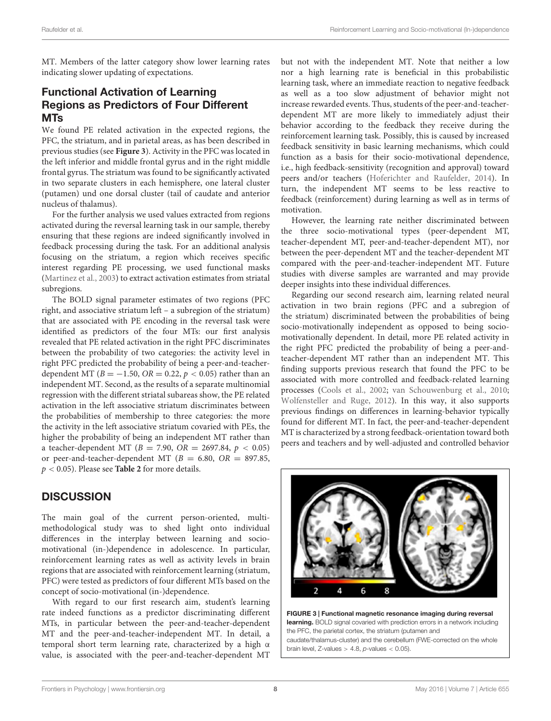MT. Members of the latter category show lower learning rates indicating slower updating of expectations.

# Functional Activation of Learning Regions as Predictors of Four Different MTs

We found PE related activation in the expected regions, the PFC, the striatum, and in parietal areas, as has been described in previous studies (see **[Figure 3](#page-7-0)**). Activity in the PFC was located in the left inferior and middle frontal gyrus and in the right middle frontal gyrus. The striatum was found to be significantly activated in two separate clusters in each hemisphere, one lateral cluster (putamen) und one dorsal cluster (tail of caudate and anterior nucleus of thalamus).

For the further analysis we used values extracted from regions activated during the reversal learning task in our sample, thereby ensuring that these regions are indeed significantly involved in feedback processing during the task. For an additional analysis focusing on the striatum, a region which receives specific interest regarding PE processing, we used functional masks [\(Martinez et al.,](#page-9-23) [2003\)](#page-9-23) to extract activation estimates from striatal subregions.

The BOLD signal parameter estimates of two regions (PFC right, and associative striatum left – a subregion of the striatum) that are associated with PE encoding in the reversal task were identified as predictors of the four MTs: our first analysis revealed that PE related activation in the right PFC discriminates between the probability of two categories: the activity level in right PFC predicted the probability of being a peer-and-teacherdependent MT ( $B = -1.50$ ,  $OR = 0.22$ ,  $p < 0.05$ ) rather than an independent MT. Second, as the results of a separate multinomial regression with the different striatal subareas show, the PE related activation in the left associative striatum discriminates between the probabilities of membership to three categories: the more the activity in the left associative striatum covaried with PEs, the higher the probability of being an independent MT rather than a teacher-dependent MT ( $B = 7.90$ ,  $OR = 2697.84$ ,  $p < 0.05$ ) or peer-and-teacher-dependent MT ( $B = 6.80$ ,  $OR = 897.85$ , p < 0.05). Please see **[Table 2](#page-6-1)** for more details.

## **DISCUSSION**

The main goal of the current person-oriented, multimethodological study was to shed light onto individual differences in the interplay between learning and sociomotivational (in-)dependence in adolescence. In particular, reinforcement learning rates as well as activity levels in brain regions that are associated with reinforcement learning (striatum, PFC) were tested as predictors of four different MTs based on the concept of socio-motivational (in-)dependence.

With regard to our first research aim, student's learning rate indeed functions as a predictor discriminating different MTs, in particular between the peer-and-teacher-dependent MT and the peer-and-teacher-independent MT. In detail, a temporal short term learning rate, characterized by a high α value, is associated with the peer-and-teacher-dependent MT

but not with the independent MT. Note that neither a low nor a high learning rate is beneficial in this probabilistic learning task, where an immediate reaction to negative feedback as well as a too slow adjustment of behavior might not increase rewarded events. Thus, students of the peer-and-teacherdependent MT are more likely to immediately adjust their behavior according to the feedback they receive during the reinforcement learning task. Possibly, this is caused by increased feedback sensitivity in basic learning mechanisms, which could function as a basis for their socio-motivational dependence, i.e., high feedback-sensitivity (recognition and approval) toward peers and/or teachers [\(Hoferichter and Raufelder,](#page-9-3) [2014\)](#page-9-3). In turn, the independent MT seems to be less reactive to feedback (reinforcement) during learning as well as in terms of motivation.

However, the learning rate neither discriminated between the three socio-motivational types (peer-dependent MT, teacher-dependent MT, peer-and-teacher-dependent MT), nor between the peer-dependent MT and the teacher-dependent MT compared with the peer-and-teacher-independent MT. Future studies with diverse samples are warranted and may provide deeper insights into these individual differences.

Regarding our second research aim, learning related neural activation in two brain regions (PFC and a subregion of the striatum) discriminated between the probabilities of being socio-motivationally independent as opposed to being sociomotivationally dependent. In detail, more PE related activity in the right PFC predicted the probability of being a peer-andteacher-dependent MT rather than an independent MT. This finding supports previous research that found the PFC to be associated with more controlled and feedback-related learning processes [\(Cools et al.,](#page-9-11) [2002;](#page-9-11) [van Schouwenburg et al.,](#page-10-21) [2010;](#page-10-21) [Wolfensteller and Ruge,](#page-10-22) [2012\)](#page-10-22). In this way, it also supports previous findings on differences in learning-behavior typically found for different MT. In fact, the peer-and-teacher-dependent MT is characterized by a strong feedback-orientation toward both peers and teachers and by well-adjusted and controlled behavior



<span id="page-7-0"></span>FIGURE 3 | Functional magnetic resonance imaging during reversal learning. BOLD signal covaried with prediction errors in a network including the PFC, the parietal cortex, the striatum (putamen and caudate/thalamus-cluster) and the cerebellum (FWE-corrected on the whole brain level, Z-values  $> 4.8$ ,  $p$ -values  $< 0.05$ ).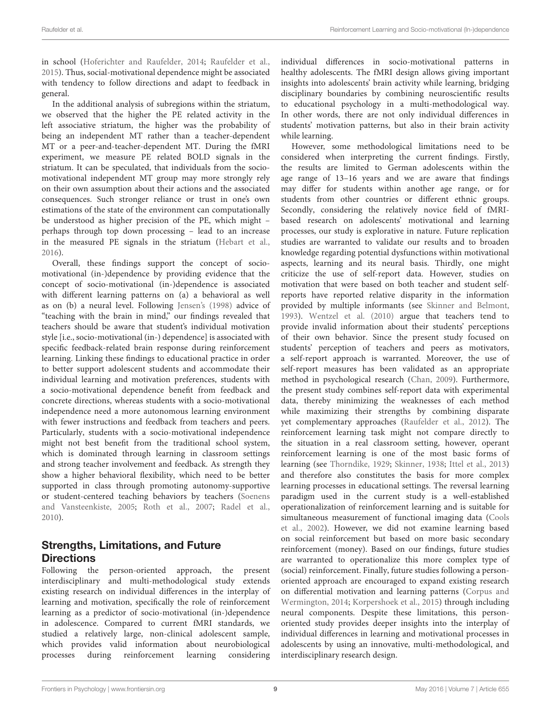in school [\(Hoferichter and Raufelder,](#page-9-3) [2014;](#page-9-3) [Raufelder et al.,](#page-10-10) [2015\)](#page-10-10). Thus, social-motivational dependence might be associated with tendency to follow directions and adapt to feedback in general.

In the additional analysis of subregions within the striatum, we observed that the higher the PE related activity in the left associative striatum, the higher was the probability of being an independent MT rather than a teacher-dependent MT or a peer-and-teacher-dependent MT. During the fMRI experiment, we measure PE related BOLD signals in the striatum. It can be speculated, that individuals from the sociomotivational independent MT group may more strongly rely on their own assumption about their actions and the associated consequences. Such stronger reliance or trust in one's own estimations of the state of the environment can computationally be understood as higher precision of the PE, which might – perhaps through top down processing – lead to an increase in the measured PE signals in the striatum [\(Hebart et al.,](#page-9-29) [2016\)](#page-9-29).

Overall, these findings support the concept of sociomotivational (in-)dependence by providing evidence that the concept of socio-motivational (in-)dependence is associated with different learning patterns on (a) a behavioral as well as on (b) a neural level. Following [Jensen'](#page-9-30)s [\(1998\)](#page-9-30) advice of "teaching with the brain in mind," our findings revealed that teachers should be aware that student's individual motivation style [i.e., socio-motivational (in-) dependence] is associated with specific feedback-related brain response during reinforcement learning. Linking these findings to educational practice in order to better support adolescent students and accommodate their individual learning and motivation preferences, students with a socio-motivational dependence benefit from feedback and concrete directions, whereas students with a socio-motivational independence need a more autonomous learning environment with fewer instructions and feedback from teachers and peers. Particularly, students with a socio-motivational independence might not best benefit from the traditional school system, which is dominated through learning in classroom settings and strong teacher involvement and feedback. As strength they show a higher behavioral flexibility, which need to be better supported in class through promoting autonomy-supportive or student-centered teaching behaviors by teachers [\(Soenens](#page-10-29) [and Vansteenkiste,](#page-10-29) [2005;](#page-10-29) [Roth et al.,](#page-10-30) [2007;](#page-10-30) [Radel et al.,](#page-10-31) [2010\)](#page-10-31).

# Strengths, Limitations, and Future **Directions**

Following the person-oriented approach, the present interdisciplinary and multi-methodological study extends existing research on individual differences in the interplay of learning and motivation, specifically the role of reinforcement learning as a predictor of socio-motivational (in-)dependence in adolescence. Compared to current fMRI standards, we studied a relatively large, non-clinical adolescent sample, which provides valid information about neurobiological processes during reinforcement learning considering

individual differences in socio-motivational patterns in healthy adolescents. The fMRI design allows giving important insights into adolescents' brain activity while learning, bridging disciplinary boundaries by combining neuroscientific results to educational psychology in a multi-methodological way. In other words, there are not only individual differences in students' motivation patterns, but also in their brain activity while learning.

However, some methodological limitations need to be considered when interpreting the current findings. Firstly, the results are limited to German adolescents within the age range of 13–16 years and we are aware that findings may differ for students within another age range, or for students from other countries or different ethnic groups. Secondly, considering the relatively novice field of fMRIbased research on adolescents' motivational and learning processes, our study is explorative in nature. Future replication studies are warranted to validate our results and to broaden knowledge regarding potential dysfunctions within motivational aspects, learning and its neural basis. Thirdly, one might criticize the use of self-report data. However, studies on motivation that were based on both teacher and student selfreports have reported relative disparity in the information provided by multiple informants (see [Skinner and Belmont,](#page-10-32) [1993\)](#page-10-32). [Wentzel et al.](#page-10-2) [\(2010\)](#page-10-2) argue that teachers tend to provide invalid information about their students' perceptions of their own behavior. Since the present study focused on students' perception of teachers and peers as motivators, a self-report approach is warranted. Moreover, the use of self-report measures has been validated as an appropriate method in psychological research [\(Chan,](#page-9-31) [2009\)](#page-9-31). Furthermore, the present study combines self-report data with experimental data, thereby minimizing the weaknesses of each method while maximizing their strengths by combining disparate yet complementary approaches [\(Raufelder et al.,](#page-10-33) [2012\)](#page-10-33). The reinforcement learning task might not compare directly to the situation in a real classroom setting, however, operant reinforcement learning is one of the most basic forms of learning (see [Thorndike,](#page-10-13) [1929;](#page-10-13) [Skinner,](#page-10-14) [1938;](#page-10-14) [Ittel et al.,](#page-9-10) [2013\)](#page-9-10) and therefore also constitutes the basis for more complex learning processes in educational settings. The reversal learning paradigm used in the current study is a well-established operationalization of reinforcement learning and is suitable for simultaneous measurement of functional imaging data [\(Cools](#page-9-11) [et al.,](#page-9-11) [2002\)](#page-9-11). However, we did not examine learning based on social reinforcement but based on more basic secondary reinforcement (money). Based on our findings, future studies are warranted to operationalize this more complex type of (social) reinforcement. Finally, future studies following a personoriented approach are encouraged to expand existing research on differential motivation and learning patterns [\(Corpus and](#page-9-32) [Wermington,](#page-9-32) [2014;](#page-9-32) [Korpershoek et al.,](#page-9-33) [2015\)](#page-9-33) through including neural components. Despite these limitations, this personoriented study provides deeper insights into the interplay of individual differences in learning and motivational processes in adolescents by using an innovative, multi-methodological, and interdisciplinary research design.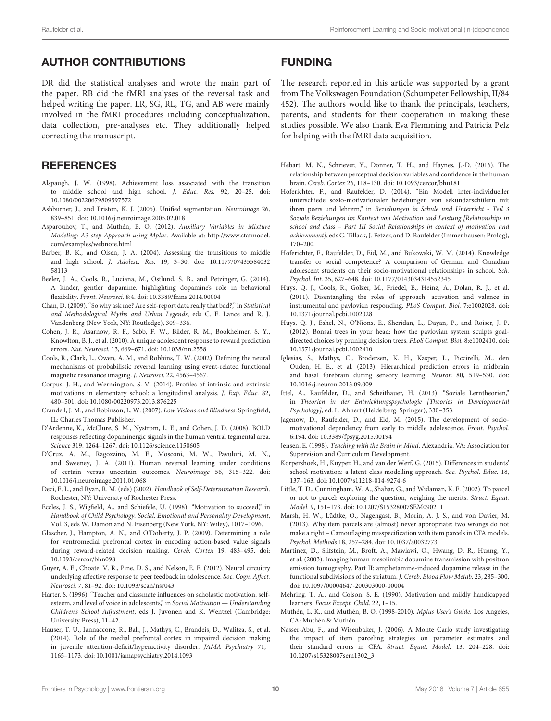### AUTHOR CONTRIBUTIONS

DR did the statistical analyses and wrote the main part of the paper. RB did the fMRI analyses of the reversal task and helped writing the paper. LR, SG, RL, TG, and AB were mainly involved in the fMRI procedures including conceptualization, data collection, pre-analyses etc. They additionally helped correcting the manuscript.

### **REFERENCES**

- <span id="page-9-8"></span>Alspaugh, J. W. (1998). Achievement loss associated with the transition to middle school and high school. J. Educ. Res. 92, 20–25. doi: 10.1080/00220679809597572
- <span id="page-9-20"></span>Ashburner, J., and Friston, K. J. (2005). Unified segmentation. Neuroimage 26, 839–851. doi: 10.1016/j.neuroimage.2005.02.018
- <span id="page-9-24"></span>Asparouhov, T., and Muthén, B. O. (2012). Auxiliary Variables in Mixture Modeling: A3-step Approach using Mplus. Available at: [http://www.statmodel.](http://www.statmodel.com/examples/webnote.html) [com/examples/webnote.html](http://www.statmodel.com/examples/webnote.html)
- <span id="page-9-9"></span>Barber, B. K., and Olsen, J. A. (2004). Assessing the transitions to middle and high school. J. Adolesc. Res. 19, 3–30. doi: 10.1177/07435584032 58113
- <span id="page-9-14"></span>Beeler, J. A., Cools, R., Luciana, M., Ostlund, S. B., and Petzinger, G. (2014). A kinder, gentler dopamine. highlighting dopamine's role in behavioral flexibility. Front. Neurosci. 8:4. doi: 10.3389/fnins.2014.00004
- <span id="page-9-31"></span>Chan, D. (2009). "So why ask me? Are self-report data really that bad?," in Statistical and Methodological Myths and Urban Legends, eds C. E. Lance and R. J. Vandenberg (New York, NY: Routledge), 309–336.
- <span id="page-9-22"></span>Cohen, J. R., Asarnow, R. F., Sabb, F. W., Bilder, R. M., Bookheimer, S. Y., Knowlton, B. J., et al. (2010). A unique adolescent response to reward prediction errors. Nat. Neurosci. 13, 669–671. doi: 10.1038/nn.2558
- <span id="page-9-11"></span>Cools, R., Clark, L., Owen, A. M., and Robbins, T. W. (2002). Defining the neural mechanisms of probabilistic reversal learning using event-related functional magnetic resonance imaging. J. Neurosci. 22, 4563–4567.
- <span id="page-9-32"></span>Corpus, J. H., and Wermington, S. V. (2014). Profiles of intrinsic and extrinsic motivations in elementary school: a longitudinal analysis. J. Exp. Educ. 82, 480–501. doi: 10.1080/00220973.2013.876225
- <span id="page-9-7"></span>Crandell, J. M., and Robinson, L. W. (2007). Low Visions and Blindness. Springfield, IL: Charles Thomas Publisher.
- <span id="page-9-13"></span>D'Ardenne, K., McClure, S. M., Nystrom, L. E., and Cohen, J. D. (2008). BOLD responses reflecting dopaminergic signals in the human ventral tegmental area. Science 319, 1264–1267. doi: 10.1126/science.1150605
- <span id="page-9-12"></span>D'Cruz, A. M., Ragozzino, M. E., Mosconi, M. W., Pavuluri, M. N., and Sweeney, J. A. (2011). Human reversal learning under conditions of certain versus uncertain outcomes. Neuroimage 56, 315–322. doi: 10.1016/j.neuroimage.2011.01.068
- <span id="page-9-2"></span>Deci, E. L., and Ryan, R. M. (eds) (2002). Handbook of Self-Determination Research. Rochester, NY: University of Rochester Press.
- <span id="page-9-1"></span>Eccles, J. S., Wigfield, A., and Schiefele, U. (1998). "Motivation to succeed," in Handbook of Child Psychology. Social, Emotional and Personality Development, Vol. 3, eds W. Damon and N. Eisenberg (New York, NY: Wiley), 1017–1096.
- <span id="page-9-16"></span>Glascher, J., Hampton, A. N., and O'Doherty, J. P. (2009). Determining a role for ventromedial prefrontal cortex in encoding action-based value signals during reward-related decision making. Cereb. Cortex 19, 483–495. doi: 10.1093/cercor/bhn098
- <span id="page-9-15"></span>Guyer, A. E., Choate, V. R., Pine, D. S., and Nelson, E. E. (2012). Neural circuitry underlying affective response to peer feedback in adolescence. Soc. Cogn. Affect. Neurosci. 7, 81–92. doi: 10.1093/scan/nsr043
- <span id="page-9-0"></span>Harter, S. (1996). "Teacher and classmate influences on scholastic motivation, selfesteem, and level of voice in adolescents," in Social Motivation - Understanding Children's School Adjustment, eds J. Juvonen and K. Wentzel (Cambridge: University Press), 11–42.
- <span id="page-9-17"></span>Hauser, T. U., Iannaccone, R., Ball, J., Mathys, C., Brandeis, D., Walitza, S., et al. (2014). Role of the medial prefrontal cortex in impaired decision making in juvenile attention-deficit/hyperactivity disorder. JAMA Psychiatry 71, 1165–1173. doi: 10.1001/jamapsychiatry.2014.1093

## FUNDING

The research reported in this article was supported by a grant from The Volkswagen Foundation (Schumpeter Fellowship, II/84 452). The authors would like to thank the principals, teachers, parents, and students for their cooperation in making these studies possible. We also thank Eva Flemming and Patricia Pelz for helping with the fMRI data acquisition.

- <span id="page-9-29"></span>Hebart, M. N., Schriever, Y., Donner, T. H., and Haynes, J.-D. (2016). The relationship between perceptual decision variables and confidence in the human brain. Cereb. Cortex 26, 118–130. doi: 10.1093/cercor/bhu181
- <span id="page-9-3"></span>Hoferichter, F., and Raufelder, D. (2014). "Ein Modell inter-individueller unterschiede sozio-motivationaler beziehungen von sekundarschülern mit ihren peers und lehrern," in Beziehungen in Schule und Unterricht - Teil 3 Soziale Beziehungen im Kontext von Motivation und Leistung [Relationships in school and class – Part III Social Relationships in context of motivation and achievement], eds C. Tillack, J. Fetzer, and D. Raufelder (Immenhausen: Prolog), 170–200.
- <span id="page-9-4"></span>Hoferichter, F., Raufelder, D., Eid, M., and Bukowski, W. M. (2014). Knowledge transfer or social competence? A comparison of German and Canadian adolescent students on their socio-motivational relationships in school. Sch. Psychol. Int. 35, 627–648. doi: 10.1177/0143034314552345
- <span id="page-9-18"></span>Huys, Q. J., Cools, R., Golzer, M., Friedel, E., Heinz, A., Dolan, R. J., et al. (2011). Disentangling the roles of approach, activation and valence in instrumental and pavlovian responding. PLoS Comput. Biol. 7:e1002028. doi: 10.1371/journal.pcbi.1002028
- <span id="page-9-19"></span>Huys, Q. J., Eshel, N., O'Nions, E., Sheridan, L., Dayan, P., and Roiser, J. P. (2012). Bonsai trees in your head: how the pavlovian system sculpts goaldirected choices by pruning decision trees. PLoS Comput. Biol. 8:e1002410. doi: 10.1371/journal.pcbi.1002410
- <span id="page-9-21"></span>Iglesias, S., Mathys, C., Brodersen, K. H., Kasper, L., Piccirelli, M., den Ouden, H. E., et al. (2013). Hierarchical prediction errors in midbrain and basal forebrain during sensory learning. Neuron 80, 519–530. doi: 10.1016/j.neuron.2013.09.009
- <span id="page-9-10"></span>Ittel, A., Raufelder, D., and Scheithauer, H. (2013). "Soziale Lerntheorien," in Theorien in der Entwicklungspsychologie [Theories in Developmental Psychology], ed. L. Ahnert (Heidelberg: Springer), 330–353.
- <span id="page-9-5"></span>Jagenow, D., Raufelder, D., and Eid, M. (2015). The development of sociomotivational dependency from early to middle adolescence. Front. Psychol. 6:194. doi: 10.3389/fpsyg.2015.00194
- <span id="page-9-30"></span>Jensen, E. (1998). Teaching with the Brain in Mind. Alexandria, VA: Association for Supervision and Curriculum Development.
- <span id="page-9-33"></span>Korpershoek, H., Kuyper, H., and van der Werf, G. (2015). Differences in students' school motivation: a latent class modelling approach. Soc. Psychol. Educ. 18, 137–163. doi: 10.1007/s11218-014-9274-6
- <span id="page-9-27"></span>Little, T. D., Cunningham, W. A., Shahar, G., and Widaman, K. F. (2002). To parcel or not to parcel: exploring the question, weighing the merits. Struct. Equat. Model. 9, 151–173. doi: 10.1207/S15328007SEM0902\_1
- <span id="page-9-26"></span>Marsh, H. W., Lüdtke, O., Nagengast, B., Morin, A. J. S., and von Davier, M. (2013). Why item parcels are (almost) never appropriate: two wrongs do not make a right – Camouflaging misspecification with item parcels in CFA models. Psychol. Methods 18, 257–284. doi: 10.1037/a0032773
- <span id="page-9-23"></span>Martinez, D., Slifstein, M., Broft, A., Mawlawi, O., Hwang, D. R., Huang, Y., et al. (2003). Imaging human mesolimbic dopamine transmission with positron emission tomography. Part II: amphetamine-induced dopamine release in the functional subdivisions of the striatum. J. Cereb. Blood Flow Metab. 23, 285–300. doi: 10.1097/00004647-200303000-00004
- <span id="page-9-6"></span>Mehring, T. A., and Colson, S. E. (1990). Motivation and mildly handicapped learners. Focus Except. Child. 22, 1–15.
- <span id="page-9-28"></span>Muthén, L. K., and Muthén, B. O. (1998-2010). Mplus User's Guide. Los Angeles, CA: Muthén & Muthén.
- <span id="page-9-25"></span>Nasser-Abu, F., and Wisenbaker, J. (2006). A Monte Carlo study investigating the impact of item parceling strategies on parameter estimates and their standard errors in CFA. Struct. Equat. Model. 13, 204–228. doi: 10.1207/s15328007sem1302\_3